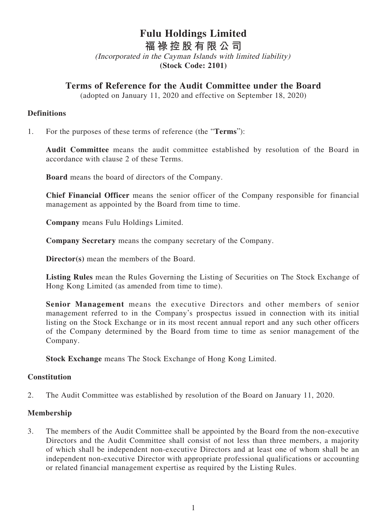# **Fulu Holdings Limited**

**福祿控股有限公司**

(Incorporated in the Cayman Islands with limited liability) **(Stock Code: 2101)**

## **Terms of Reference for the Audit Committee under the Board**

(adopted on January 11, 2020 and effective on September 18, 2020)

## **Definitions**

1. For the purposes of these terms of reference (the "**Terms**"):

**Audit Committee** means the audit committee established by resolution of the Board in accordance with clause 2 of these Terms.

**Board** means the board of directors of the Company.

**Chief Financial Officer** means the senior officer of the Company responsible for financial management as appointed by the Board from time to time.

**Company** means Fulu Holdings Limited.

**Company Secretary** means the company secretary of the Company.

**Director(s)** mean the members of the Board.

**Listing Rules** mean the Rules Governing the Listing of Securities on The Stock Exchange of Hong Kong Limited (as amended from time to time).

**Senior Management** means the executive Directors and other members of senior management referred to in the Company's prospectus issued in connection with its initial listing on the Stock Exchange or in its most recent annual report and any such other officers of the Company determined by the Board from time to time as senior management of the Company.

**Stock Exchange** means The Stock Exchange of Hong Kong Limited.

## **Constitution**

2. The Audit Committee was established by resolution of the Board on January 11, 2020.

## **Membership**

3. The members of the Audit Committee shall be appointed by the Board from the non-executive Directors and the Audit Committee shall consist of not less than three members, a majority of which shall be independent non-executive Directors and at least one of whom shall be an independent non-executive Director with appropriate professional qualifications or accounting or related financial management expertise as required by the Listing Rules.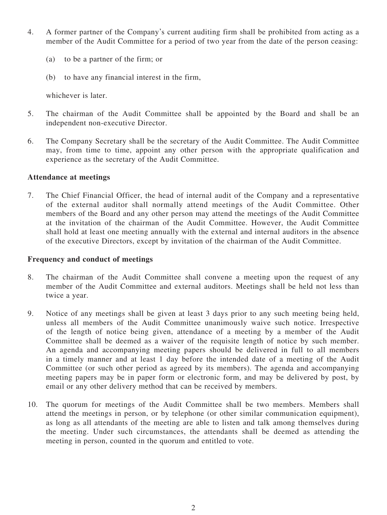- 4. A former partner of the Company's current auditing firm shall be prohibited from acting as a member of the Audit Committee for a period of two year from the date of the person ceasing:
	- (a) to be a partner of the firm; or
	- (b) to have any financial interest in the firm,

whichever is later.

- 5. The chairman of the Audit Committee shall be appointed by the Board and shall be an independent non-executive Director.
- 6. The Company Secretary shall be the secretary of the Audit Committee. The Audit Committee may, from time to time, appoint any other person with the appropriate qualification and experience as the secretary of the Audit Committee.

#### **Attendance at meetings**

7. The Chief Financial Officer, the head of internal audit of the Company and a representative of the external auditor shall normally attend meetings of the Audit Committee. Other members of the Board and any other person may attend the meetings of the Audit Committee at the invitation of the chairman of the Audit Committee. However, the Audit Committee shall hold at least one meeting annually with the external and internal auditors in the absence of the executive Directors, except by invitation of the chairman of the Audit Committee.

#### **Frequency and conduct of meetings**

- 8. The chairman of the Audit Committee shall convene a meeting upon the request of any member of the Audit Committee and external auditors. Meetings shall be held not less than twice a year.
- 9. Notice of any meetings shall be given at least 3 days prior to any such meeting being held, unless all members of the Audit Committee unanimously waive such notice. Irrespective of the length of notice being given, attendance of a meeting by a member of the Audit Committee shall be deemed as a waiver of the requisite length of notice by such member. An agenda and accompanying meeting papers should be delivered in full to all members in a timely manner and at least 1 day before the intended date of a meeting of the Audit Committee (or such other period as agreed by its members). The agenda and accompanying meeting papers may be in paper form or electronic form, and may be delivered by post, by email or any other delivery method that can be received by members.
- 10. The quorum for meetings of the Audit Committee shall be two members. Members shall attend the meetings in person, or by telephone (or other similar communication equipment), as long as all attendants of the meeting are able to listen and talk among themselves during the meeting. Under such circumstances, the attendants shall be deemed as attending the meeting in person, counted in the quorum and entitled to vote.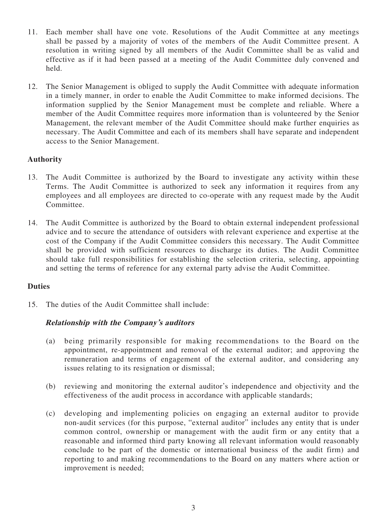- 11. Each member shall have one vote. Resolutions of the Audit Committee at any meetings shall be passed by a majority of votes of the members of the Audit Committee present. A resolution in writing signed by all members of the Audit Committee shall be as valid and effective as if it had been passed at a meeting of the Audit Committee duly convened and held.
- 12. The Senior Management is obliged to supply the Audit Committee with adequate information in a timely manner, in order to enable the Audit Committee to make informed decisions. The information supplied by the Senior Management must be complete and reliable. Where a member of the Audit Committee requires more information than is volunteered by the Senior Management, the relevant member of the Audit Committee should make further enquiries as necessary. The Audit Committee and each of its members shall have separate and independent access to the Senior Management.

## **Authority**

- 13. The Audit Committee is authorized by the Board to investigate any activity within these Terms. The Audit Committee is authorized to seek any information it requires from any employees and all employees are directed to co-operate with any request made by the Audit Committee.
- 14. The Audit Committee is authorized by the Board to obtain external independent professional advice and to secure the attendance of outsiders with relevant experience and expertise at the cost of the Company if the Audit Committee considers this necessary. The Audit Committee shall be provided with sufficient resources to discharge its duties. The Audit Committee should take full responsibilities for establishing the selection criteria, selecting, appointing and setting the terms of reference for any external party advise the Audit Committee.

## **Duties**

15. The duties of the Audit Committee shall include:

## **Relationship with the Company's auditors**

- (a) being primarily responsible for making recommendations to the Board on the appointment, re-appointment and removal of the external auditor; and approving the remuneration and terms of engagement of the external auditor, and considering any issues relating to its resignation or dismissal;
- (b) reviewing and monitoring the external auditor's independence and objectivity and the effectiveness of the audit process in accordance with applicable standards;
- (c) developing and implementing policies on engaging an external auditor to provide non-audit services (for this purpose, "external auditor" includes any entity that is under common control, ownership or management with the audit firm or any entity that a reasonable and informed third party knowing all relevant information would reasonably conclude to be part of the domestic or international business of the audit firm) and reporting to and making recommendations to the Board on any matters where action or improvement is needed;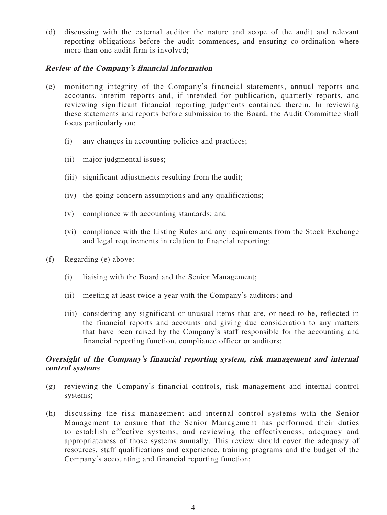(d) discussing with the external auditor the nature and scope of the audit and relevant reporting obligations before the audit commences, and ensuring co-ordination where more than one audit firm is involved;

#### **Review of the Company's financial information**

- (e) monitoring integrity of the Company's financial statements, annual reports and accounts, interim reports and, if intended for publication, quarterly reports, and reviewing significant financial reporting judgments contained therein. In reviewing these statements and reports before submission to the Board, the Audit Committee shall focus particularly on:
	- (i) any changes in accounting policies and practices;
	- (ii) major judgmental issues;
	- (iii) significant adjustments resulting from the audit;
	- (iv) the going concern assumptions and any qualifications;
	- (v) compliance with accounting standards; and
	- (vi) compliance with the Listing Rules and any requirements from the Stock Exchange and legal requirements in relation to financial reporting;
- (f) Regarding (e) above:
	- (i) liaising with the Board and the Senior Management;
	- (ii) meeting at least twice a year with the Company's auditors; and
	- (iii) considering any significant or unusual items that are, or need to be, reflected in the financial reports and accounts and giving due consideration to any matters that have been raised by the Company's staff responsible for the accounting and financial reporting function, compliance officer or auditors;

## **Oversight of the Company's financial reporting system, risk management and internal control systems**

- (g) reviewing the Company's financial controls, risk management and internal control systems;
- (h) discussing the risk management and internal control systems with the Senior Management to ensure that the Senior Management has performed their duties to establish effective systems, and reviewing the effectiveness, adequacy and appropriateness of those systems annually. This review should cover the adequacy of resources, staff qualifications and experience, training programs and the budget of the Company's accounting and financial reporting function;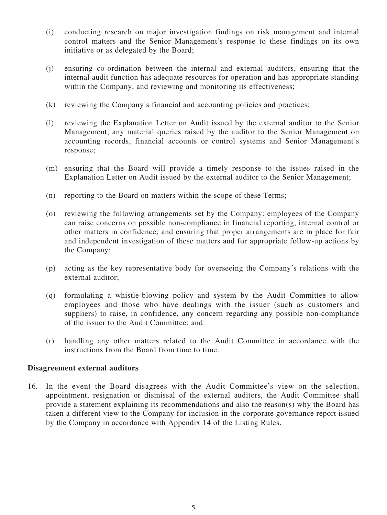- (i) conducting research on major investigation findings on risk management and internal control matters and the Senior Management's response to these findings on its own initiative or as delegated by the Board;
- (j) ensuring co-ordination between the internal and external auditors, ensuring that the internal audit function has adequate resources for operation and has appropriate standing within the Company, and reviewing and monitoring its effectiveness;
- (k) reviewing the Company's financial and accounting policies and practices;
- (l) reviewing the Explanation Letter on Audit issued by the external auditor to the Senior Management, any material queries raised by the auditor to the Senior Management on accounting records, financial accounts or control systems and Senior Management's response;
- (m) ensuring that the Board will provide a timely response to the issues raised in the Explanation Letter on Audit issued by the external auditor to the Senior Management;
- (n) reporting to the Board on matters within the scope of these Terms;
- (o) reviewing the following arrangements set by the Company: employees of the Company can raise concerns on possible non-compliance in financial reporting, internal control or other matters in confidence; and ensuring that proper arrangements are in place for fair and independent investigation of these matters and for appropriate follow-up actions by the Company;
- (p) acting as the key representative body for overseeing the Company's relations with the external auditor;
- (q) formulating a whistle-blowing policy and system by the Audit Committee to allow employees and those who have dealings with the issuer (such as customers and suppliers) to raise, in confidence, any concern regarding any possible non-compliance of the issuer to the Audit Committee; and
- (r) handling any other matters related to the Audit Committee in accordance with the instructions from the Board from time to time.

#### **Disagreement external auditors**

16. In the event the Board disagrees with the Audit Committee's view on the selection, appointment, resignation or dismissal of the external auditors, the Audit Committee shall provide a statement explaining its recommendations and also the reason(s) why the Board has taken a different view to the Company for inclusion in the corporate governance report issued by the Company in accordance with Appendix 14 of the Listing Rules.